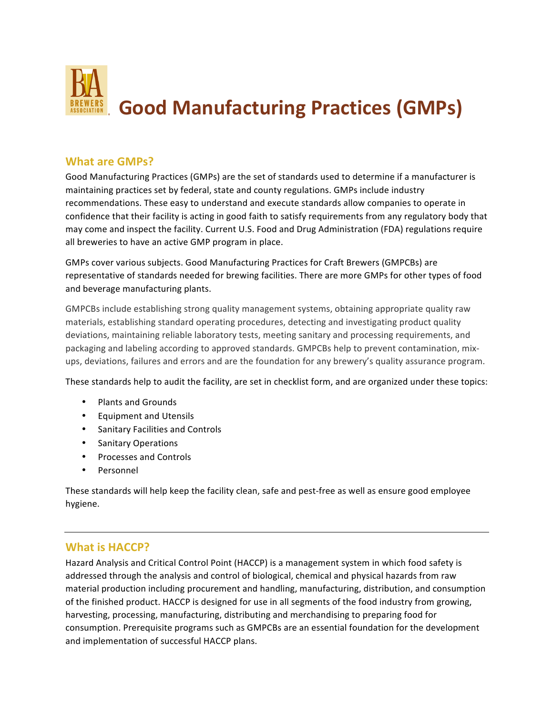

## **What are GMPs?**

Good Manufacturing Practices (GMPs) are the set of standards used to determine if a manufacturer is maintaining practices set by federal, state and county regulations. GMPs include industry recommendations. These easy to understand and execute standards allow companies to operate in confidence that their facility is acting in good faith to satisfy requirements from any regulatory body that may come and inspect the facility. Current U.S. Food and Drug Administration (FDA) regulations require all breweries to have an active GMP program in place.

GMPs cover various subjects. Good Manufacturing Practices for Craft Brewers (GMPCBs) are representative of standards needed for brewing facilities. There are more GMPs for other types of food and beverage manufacturing plants.

GMPCBs include establishing strong quality management systems, obtaining appropriate quality raw materials, establishing standard operating procedures, detecting and investigating product quality deviations, maintaining reliable laboratory tests, meeting sanitary and processing requirements, and packaging and labeling according to approved standards. GMPCBs help to prevent contamination, mixups, deviations, failures and errors and are the foundation for any brewery's quality assurance program.

These standards help to audit the facility, are set in checklist form, and are organized under these topics:

- Plants and Grounds
- Equipment and Utensils
- Sanitary Facilities and Controls
- Sanitary Operations
- Processes and Controls
- Personnel

These standards will help keep the facility clean, safe and pest-free as well as ensure good employee hygiene.

## **What is HACCP?**

Hazard Analysis and Critical Control Point (HACCP) is a management system in which food safety is addressed through the analysis and control of biological, chemical and physical hazards from raw material production including procurement and handling, manufacturing, distribution, and consumption of the finished product. HACCP is designed for use in all segments of the food industry from growing, harvesting, processing, manufacturing, distributing and merchandising to preparing food for consumption. Prerequisite programs such as GMPCBs are an essential foundation for the development and implementation of successful HACCP plans.